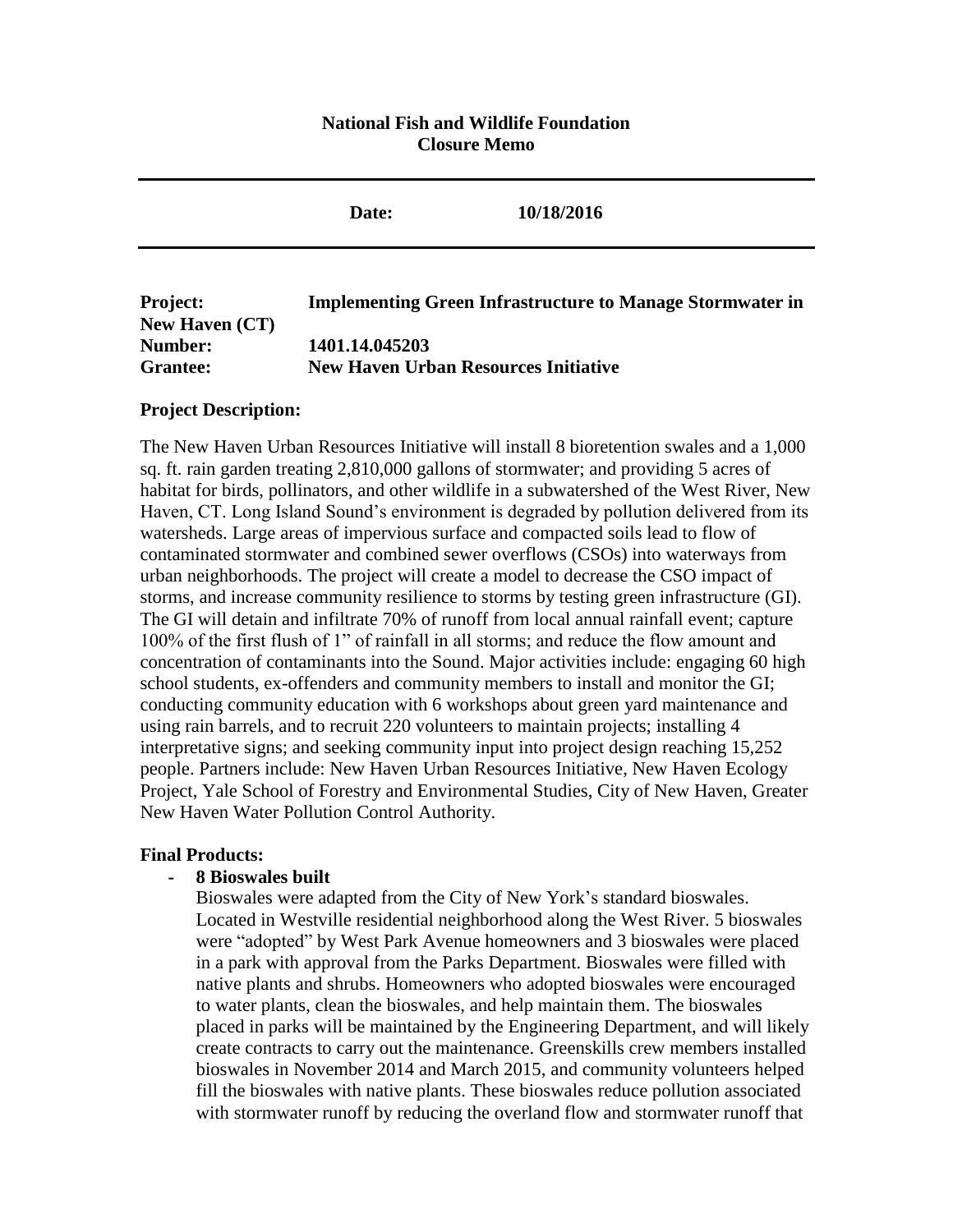## **National Fish and Wildlife Foundation Closure Memo**

|                                              | Date:                                                         | 10/18/2016                                                       |
|----------------------------------------------|---------------------------------------------------------------|------------------------------------------------------------------|
| <b>Project:</b>                              |                                                               | <b>Implementing Green Infrastructure to Manage Stormwater in</b> |
| <b>New Haven (CT)</b><br>Number:<br>Grantee: | 1401.14.045203<br><b>New Haven Urban Resources Initiative</b> |                                                                  |

#### **Project Description:**

The New Haven Urban Resources Initiative will install 8 bioretention swales and a 1,000 sq. ft. rain garden treating 2,810,000 gallons of stormwater; and providing 5 acres of habitat for birds, pollinators, and other wildlife in a subwatershed of the West River, New Haven, CT. Long Island Sound's environment is degraded by pollution delivered from its watersheds. Large areas of impervious surface and compacted soils lead to flow of contaminated stormwater and combined sewer overflows (CSOs) into waterways from urban neighborhoods. The project will create a model to decrease the CSO impact of storms, and increase community resilience to storms by testing green infrastructure (GI). The GI will detain and infiltrate 70% of runoff from local annual rainfall event; capture 100% of the first flush of 1" of rainfall in all storms; and reduce the flow amount and concentration of contaminants into the Sound. Major activities include: engaging 60 high school students, ex-offenders and community members to install and monitor the GI; conducting community education with 6 workshops about green yard maintenance and using rain barrels, and to recruit 220 volunteers to maintain projects; installing 4 interpretative signs; and seeking community input into project design reaching 15,252 people. Partners include: New Haven Urban Resources Initiative, New Haven Ecology Project, Yale School of Forestry and Environmental Studies, City of New Haven, Greater New Haven Water Pollution Control Authority.

### **Final Products:**

### **- 8 Bioswales built**

Bioswales were adapted from the City of New York's standard bioswales. Located in Westville residential neighborhood along the West River. 5 bioswales were "adopted" by West Park Avenue homeowners and 3 bioswales were placed in a park with approval from the Parks Department. Bioswales were filled with native plants and shrubs. Homeowners who adopted bioswales were encouraged to water plants, clean the bioswales, and help maintain them. The bioswales placed in parks will be maintained by the Engineering Department, and will likely create contracts to carry out the maintenance. Greenskills crew members installed bioswales in November 2014 and March 2015, and community volunteers helped fill the bioswales with native plants. These bioswales reduce pollution associated with stormwater runoff by reducing the overland flow and stormwater runoff that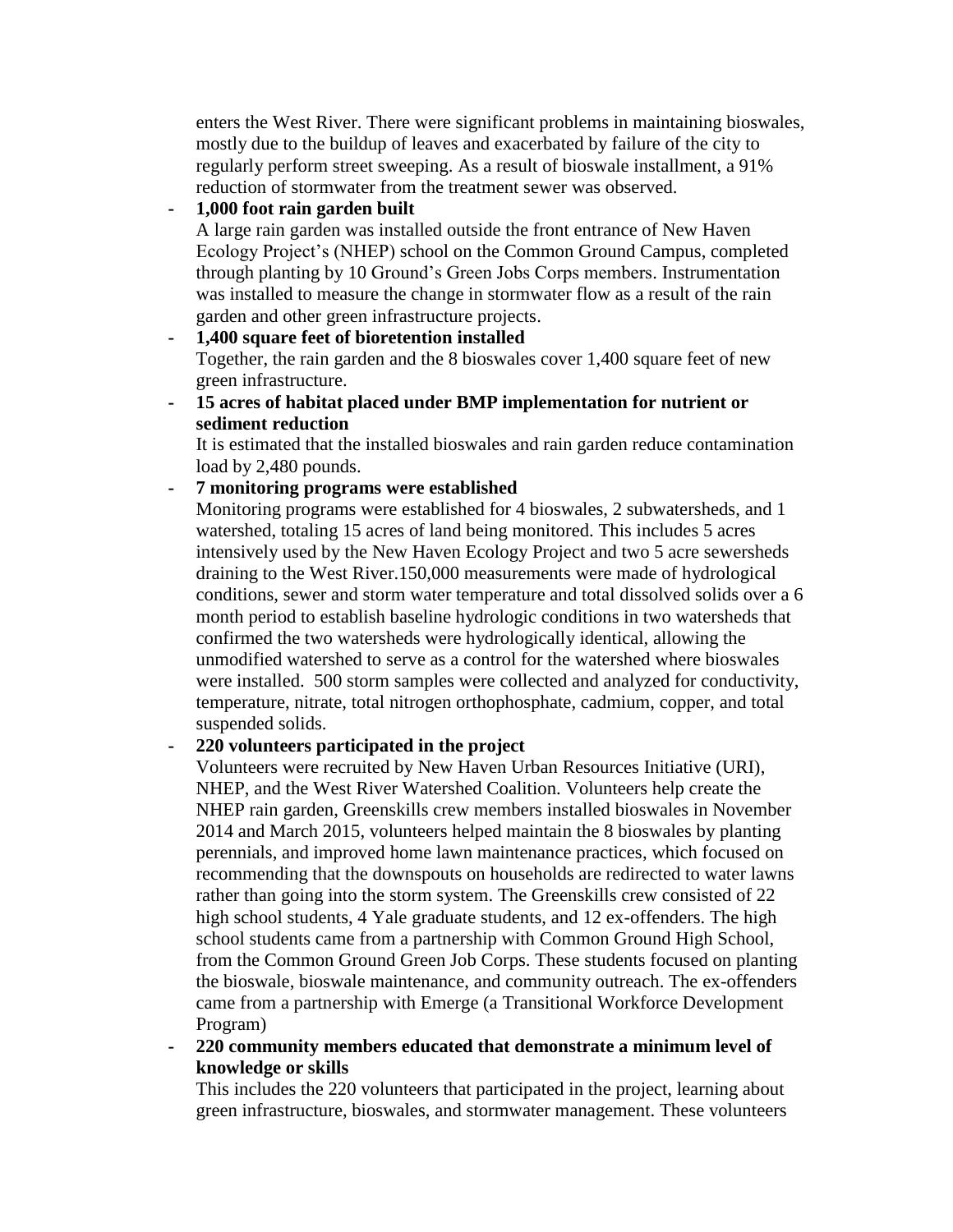enters the West River. There were significant problems in maintaining bioswales, mostly due to the buildup of leaves and exacerbated by failure of the city to regularly perform street sweeping. As a result of bioswale installment, a 91% reduction of stormwater from the treatment sewer was observed.

## **- 1,000 foot rain garden built**

A large rain garden was installed outside the front entrance of New Haven Ecology Project's (NHEP) school on the Common Ground Campus, completed through planting by 10 Ground's Green Jobs Corps members. Instrumentation was installed to measure the change in stormwater flow as a result of the rain garden and other green infrastructure projects.

#### **- 1,400 square feet of bioretention installed** Together, the rain garden and the 8 bioswales cover 1,400 square feet of new

green infrastructure.

**- 15 acres of habitat placed under BMP implementation for nutrient or sediment reduction** 

It is estimated that the installed bioswales and rain garden reduce contamination load by 2,480 pounds.

# **- 7 monitoring programs were established**

Monitoring programs were established for 4 bioswales, 2 subwatersheds, and 1 watershed, totaling 15 acres of land being monitored. This includes 5 acres intensively used by the New Haven Ecology Project and two 5 acre sewersheds draining to the West River.150,000 measurements were made of hydrological conditions, sewer and storm water temperature and total dissolved solids over a 6 month period to establish baseline hydrologic conditions in two watersheds that confirmed the two watersheds were hydrologically identical, allowing the unmodified watershed to serve as a control for the watershed where bioswales were installed. 500 storm samples were collected and analyzed for conductivity, temperature, nitrate, total nitrogen orthophosphate, cadmium, copper, and total suspended solids.

## **- 220 volunteers participated in the project**

Volunteers were recruited by New Haven Urban Resources Initiative (URI), NHEP, and the West River Watershed Coalition. Volunteers help create the NHEP rain garden, Greenskills crew members installed bioswales in November 2014 and March 2015, volunteers helped maintain the 8 bioswales by planting perennials, and improved home lawn maintenance practices, which focused on recommending that the downspouts on households are redirected to water lawns rather than going into the storm system. The Greenskills crew consisted of 22 high school students, 4 Yale graduate students, and 12 ex-offenders. The high school students came from a partnership with Common Ground High School, from the Common Ground Green Job Corps. These students focused on planting the bioswale, bioswale maintenance, and community outreach. The ex-offenders came from a partnership with Emerge (a Transitional Workforce Development Program)

### **- 220 community members educated that demonstrate a minimum level of knowledge or skills**

This includes the 220 volunteers that participated in the project, learning about green infrastructure, bioswales, and stormwater management. These volunteers